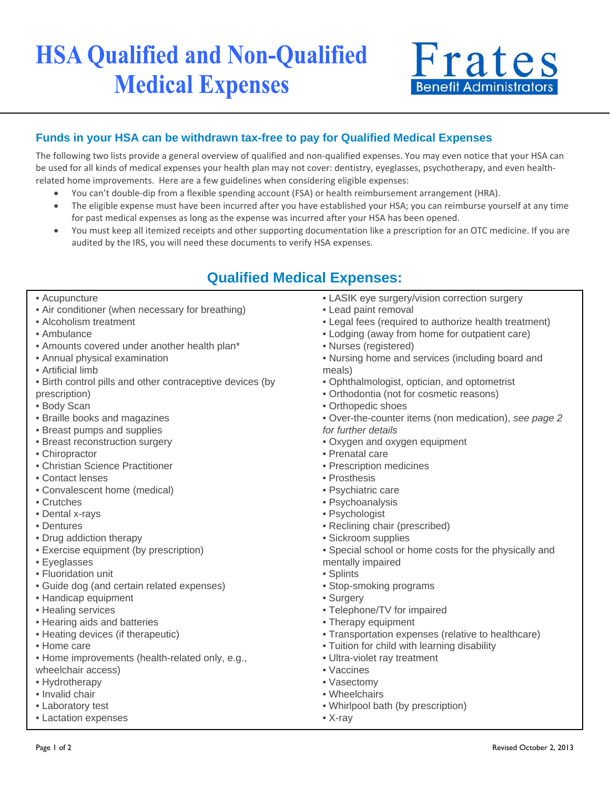# **HSA Qualified and Non-Qualified Medical Expenses**



#### **Funds in your HSA can be withdrawn tax-free to pay for Qualified Medical Expenses**

The following two lists provide a general overview of qualified and non-qualified expenses. You may even notice that your HSA can be used for all kinds of medical expenses your health plan may not cover: dentistry, eyeglasses, psychotherapy, and even healthrelated home improvements. Here are a few guidelines when considering eligible expenses:

- You can't double-dip from a flexible spending account (FSA) or health reimbursement arrangement (HRA).
- The eligible expense must have been incurred after you have established your HSA; you can reimburse yourself at any time for past medical expenses as long as the expense was incurred after your HSA has been opened.
- You must keep all itemized receipts and other supporting documentation like a prescription for an OTC medicine. If you are audited by the IRS, you will need these documents to verify HSA expenses.

## **Qualified Medical Expenses:**

- Acupuncture
- Air conditioner (when necessary for breathing)
- Alcoholism treatment
- Ambulance
- Amounts covered under another health plan\*
- Annual physical examination
- Artificial limb
- Birth control pills and other contraceptive devices (by prescription)
- Body Scan
- Braille books and magazines
- Breast pumps and supplies
- Breast reconstruction surgery
- Chiropractor
- Christian Science Practitioner
- Contact lenses
- Convalescent home (medical)
- Crutches
- Dental x-rays
- Dentures
- Drug addiction therapy
- Exercise equipment (by prescription)
- Eyeglasses
- Fluoridation unit
- Guide dog (and certain related expenses)
- Handicap equipment
- Healing services
- Hearing aids and batteries
- Heating devices (if therapeutic)
- Home care
- Home improvements (health-related only, e.g.,
- wheelchair access)
- Hydrotherapy
- Invalid chair
- Laboratory test
- Lactation expenses
- LASIK eye surgery/vision correction surgery
- Lead paint removal
- Legal fees (required to authorize health treatment)
- Lodging (away from home for outpatient care)
- Nurses (registered)
- Nursing home and services (including board and meals)
- Ophthalmologist, optician, and optometrist
- Orthodontia (not for cosmetic reasons)
- Orthopedic shoes
- Over-the-counter items (non medication), *see page 2 for further details*
- Oxygen and oxygen equipment
- Prenatal care
- Prescription medicines
- Prosthesis
- Psychiatric care
- Psychoanalysis
- Psychologist
- Reclining chair (prescribed)
- Sickroom supplies
- Special school or home costs for the physically and mentally impaired
- Splints
- Stop-smoking programs
- Surgery
- Telephone/TV for impaired
- Therapy equipment
- Transportation expenses (relative to healthcare)
- Tuition for child with learning disability
- Ultra-violet ray treatment
- Vaccines
- Vasectomy
- Wheelchairs
- Whirlpool bath (by prescription)
- X-ray